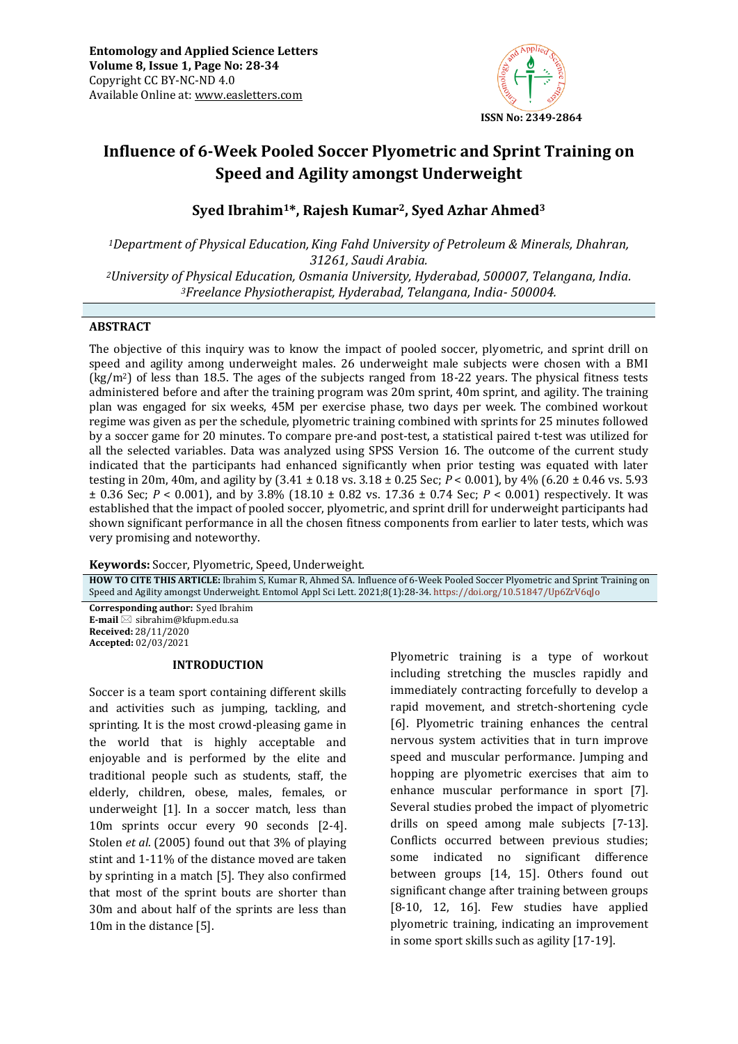

# **Influence of 6-Week Pooled Soccer Plyometric and Sprint Training on Speed and Agility amongst Underweight**

# **Syed Ibrahim1\*, Rajesh Kumar2, Syed Azhar Ahmed<sup>3</sup>**

*Department of Physical Education,King Fahd University of Petroleum & Minerals, Dhahran, 31261, Saudi Arabia. University of Physical Education, Osmania University, Hyderabad, 500007, Telangana, India. Freelance Physiotherapist, Hyderabad, Telangana, India- 500004.*

## **ABSTRACT**

The objective of this inquiry was to know the impact of pooled soccer, plyometric, and sprint drill on speed and agility among underweight males. 26 underweight male subjects were chosen with a BMI  $(kg/m<sup>2</sup>)$  of less than 18.5. The ages of the subjects ranged from 18-22 years. The physical fitness tests administered before and after the training program was 20m sprint, 40m sprint, and agility. The training plan was engaged for six weeks, 45M per exercise phase, two days per week. The combined workout regime was given as per the schedule, plyometric training combined with sprints for 25 minutes followed by a soccer game for 20 minutes. To compare pre-and post-test, a statistical paired t-test was utilized for all the selected variables. Data was analyzed using SPSS Version 16. The outcome of the current study indicated that the participants had enhanced significantly when prior testing was equated with later testing in 20m, 40m, and agility by (3.41 ± 0.18 vs. 3.18 ± 0.25 Sec; *P* < 0.001), by 4% (6.20 ± 0.46 vs. 5.93 ± 0.36 Sec; *P* < 0.001), and by 3.8% (18.10 ± 0.82 vs. 17.36 ± 0.74 Sec; *P* < 0.001) respectively. It was established that the impact of pooled soccer, plyometric, and sprint drill for underweight participants had shown significant performance in all the chosen fitness components from earlier to later tests, which was very promising and noteworthy.

**Keywords:** Soccer, Plyometric, Speed, Underweight*.*

**HOW TO CITE THIS ARTICLE:** Ibrahim S, Kumar R, Ahmed SA. Influence of 6-Week Pooled Soccer Plyometric and Sprint Training on Speed and Agility amongst Underweight. Entomol Appl Sci Lett. 2021;8(1):28-34. <https://doi.org/10.51847/Up6ZrV6qJo>

**Corresponding author:** Syed Ibrahim **E-mail** ⊠ sibrahim@kfupm.edu.sa **Received:** 28/11/2020 **Accepted:** 02/03/2021

#### **INTRODUCTION**

Soccer is a team sport containing different skills and activities such as jumping, tackling, and sprinting. It is the most crowd-pleasing game in the world that is highly acceptable and enjoyable and is performed by the elite and traditional people such as students, staff, the elderly, children, obese, males, females, or underweight [1]. In a soccer match, less than 10m sprints occur every 90 seconds [2-4]. Stolen *et al*. (2005) found out that 3% of playing stint and 1-11% of the distance moved are taken by sprinting in a match [5]. They also confirmed that most of the sprint bouts are shorter than 30m and about half of the sprints are less than 10m in the distance [5].

Plyometric training is a type of workout including stretching the muscles rapidly and immediately contracting forcefully to develop a rapid movement, and stretch-shortening cycle [6]. Plyometric training enhances the central nervous system activities that in turn improve speed and muscular performance. Jumping and hopping are plyometric exercises that aim to enhance muscular performance in sport [7]. Several studies probed the impact of plyometric drills on speed among male subjects [7-13]. Conflicts occurred between previous studies; some indicated no significant difference between groups [14, 15]. Others found out significant change after training between groups [8-10, 12, 16]. Few studies have applied plyometric training, indicating an improvement in some sport skills such as agility [17-19].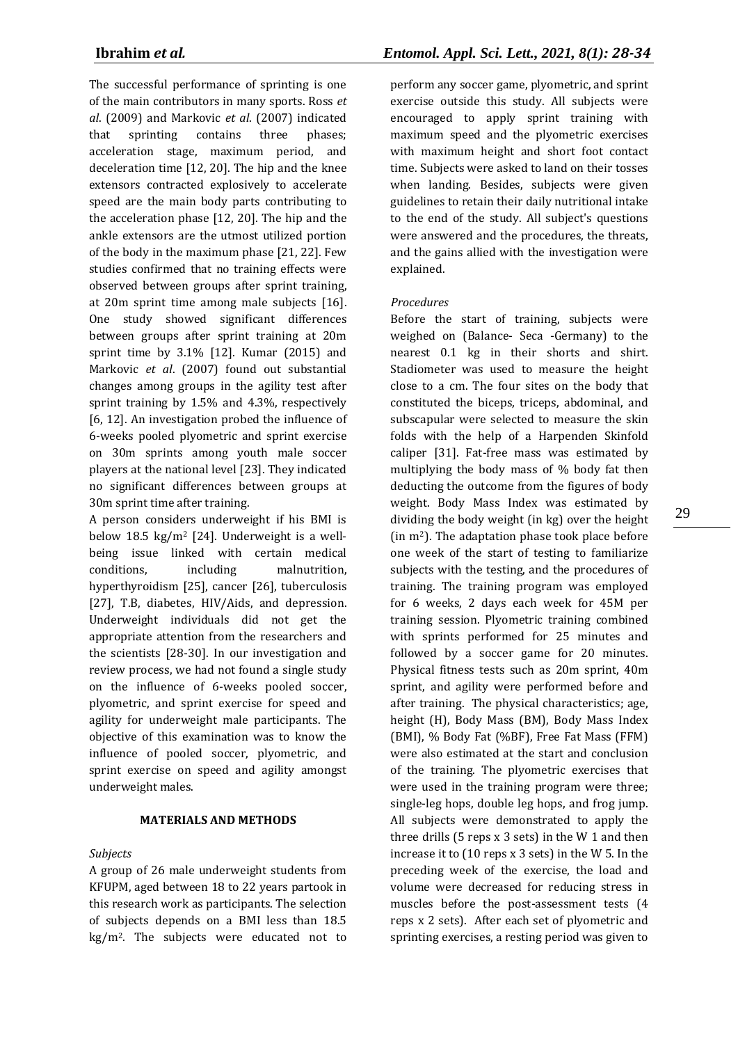The successful performance of sprinting is one of the main contributors in many sports. Ross *et al*. (2009) and Markovic *et al*. (2007) indicated that sprinting contains three phases; acceleration stage, maximum period, and deceleration time [12, 20]. The hip and the knee extensors contracted explosively to accelerate speed are the main body parts contributing to the acceleration phase [12, 20]. The hip and the ankle extensors are the utmost utilized portion of the body in the maximum phase [21, 22]. Few studies confirmed that no training effects were observed between groups after sprint training, at 20m sprint time among male subjects [16]. One study showed significant differences between groups after sprint training at 20m sprint time by 3.1% [12]. Kumar (2015) and Markovic *et al*. (2007) found out substantial changes among groups in the agility test after sprint training by 1.5% and 4.3%, respectively [6, 12]. An investigation probed the influence of 6-weeks pooled plyometric and sprint exercise on 30m sprints among youth male soccer players at the national level [23]. They indicated no significant differences between groups at 30m sprint time after training.

A person considers underweight if his BMI is below 18.5 kg/m<sup>2</sup> [24]. Underweight is a wellbeing issue linked with certain medical conditions, including malnutrition, hyperthyroidism [25], cancer [\[26\]](http://www.cancer.org/Cancer/CancerBasics/signs-and-symptoms-of-cancer), tuberculosis [27], T.B, diabetes, HIV/Aids, and depression. Underweight individuals did not get the appropriate attention from the researchers and the scientists [28-30]. In our investigation and review process, we had not found a single study on the influence of 6-weeks pooled soccer, plyometric, and sprint exercise for speed and agility for underweight male participants. The objective of this examination was to know the influence of pooled soccer, plyometric, and sprint exercise on speed and agility amongst underweight males.

# **MATERIALS AND METHODS**

# *Subjects*

A group of 26 male underweight students from KFUPM, aged between 18 to 22 years partook in this research work as participants. The selection of subjects depends on a BMI less than 18.5 kg/m2. The subjects were educated not to perform any soccer game, plyometric, and sprint exercise outside this study. All subjects were encouraged to apply sprint training with maximum speed and the plyometric exercises with maximum height and short foot contact time. Subjects were asked to land on their tosses when landing. Besides, subjects were given guidelines to retain their daily nutritional intake to the end of the study. All subject's questions were answered and the procedures, the threats, and the gains allied with the investigation were explained.

# *Procedures*

Before the start of training, subjects were weighed on (Balance- Seca -Germany) to the nearest 0.1 kg in their shorts and shirt. Stadiometer was used to measure the height close to a cm. The four sites on the body that constituted the biceps, triceps, abdominal, and subscapular were selected to measure the skin folds with the help of a Harpenden Skinfold caliper [31]. Fat-free mass was estimated by multiplying the body mass of % body fat then deducting the outcome from the figures of body weight. Body Mass Index was estimated by dividing the body weight (in kg) over the height (in m2). The adaptation phase took place before one week of the start of testing to familiarize subjects with the testing, and the procedures of training. The training program was employed for 6 weeks, 2 days each week for 45M per training session. Plyometric training combined with sprints performed for 25 minutes and followed by a soccer game for 20 minutes. Physical fitness tests such as 20m sprint, 40m sprint, and agility were performed before and after training. The physical characteristics; age, height (H), Body Mass (BM), Body Mass Index (BMI), % Body Fat (%BF), Free Fat Mass (FFM) were also estimated at the start and conclusion of the training. The plyometric exercises that were used in the training program were three; single-leg hops, double leg hops, and frog jump. All subjects were demonstrated to apply the three drills (5 reps x 3 sets) in the W 1 and then increase it to (10 reps x 3 sets) in the W 5. In the preceding week of the exercise, the load and volume were decreased for reducing stress in muscles before the post-assessment tests (4 reps x 2 sets). After each set of plyometric and sprinting exercises, a resting period was given to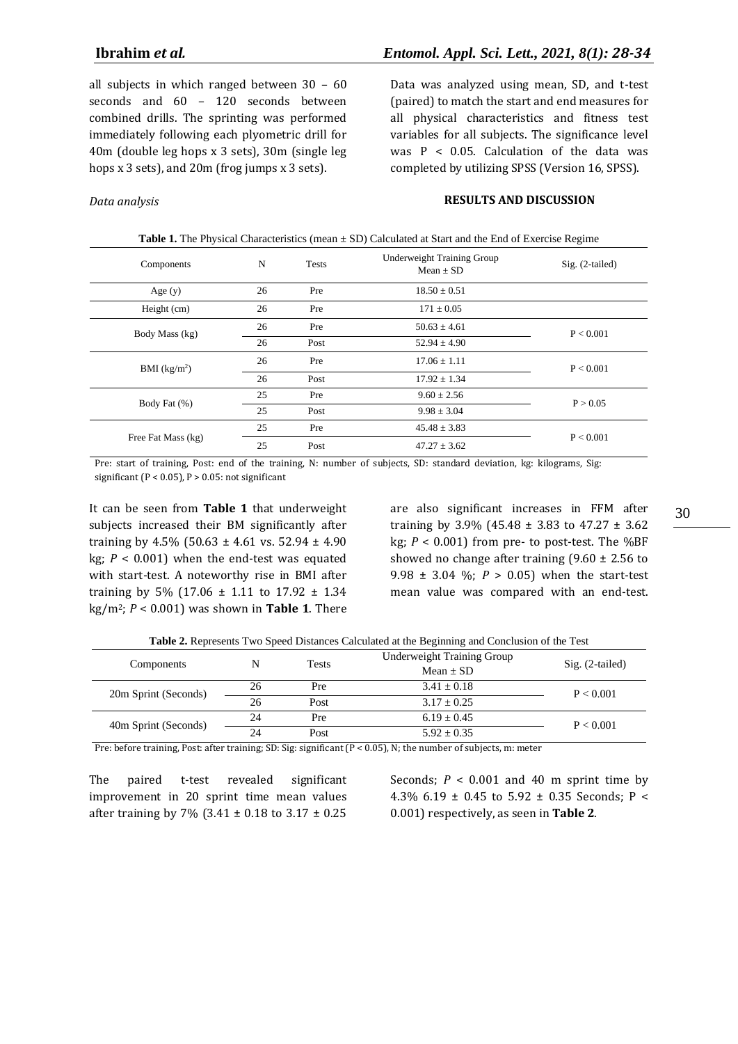*Data analysis*

all subjects in which ranged between 30 – 60 seconds and 60 – 120 seconds between combined drills. The sprinting was performed immediately following each plyometric drill for 40m (double leg hops x 3 sets), 30m (single leg hops x 3 sets), and 20m (frog jumps x 3 sets).

Data was analyzed using mean, SD, and t-test (paired) to match the start and end measures for all physical characteristics and fitness test variables for all subjects. The significance level was  $P < 0.05$ . Calculation of the data was completed by utilizing SPSS (Version 16, SPSS).

### **RESULTS AND DISCUSSION**

| <b>Table 1.</b> The Physical Characteristics (mean $\pm$ SD) Calculated at Start and the End of Exercise Regime |    |              |                                                    |                   |  |
|-----------------------------------------------------------------------------------------------------------------|----|--------------|----------------------------------------------------|-------------------|--|
| Components                                                                                                      | N  | <b>Tests</b> | <b>Underweight Training Group</b><br>$Mean \pm SD$ | $Sig. (2-tailed)$ |  |
| Age $(y)$                                                                                                       | 26 | Pre          | $18.50 \pm 0.51$                                   |                   |  |
| Height (cm)                                                                                                     | 26 | Pre          | $171 \pm 0.05$                                     |                   |  |
| Body Mass (kg)                                                                                                  | 26 | Pre          | $50.63 \pm 4.61$                                   | P < 0.001         |  |
|                                                                                                                 | 26 | Post         | $52.94 \pm 4.90$                                   |                   |  |
| BMI (kg/m <sup>2</sup> )                                                                                        | 26 | Pre          | $17.06 \pm 1.11$                                   | P < 0.001         |  |
|                                                                                                                 | 26 | Post         | $17.92 \pm 1.34$                                   |                   |  |
| Body Fat (%)                                                                                                    | 25 | Pre          | $9.60 \pm 2.56$                                    | P > 0.05          |  |
|                                                                                                                 | 25 | Post         | $9.98 \pm 3.04$                                    |                   |  |
| Free Fat Mass (kg)                                                                                              | 25 | Pre          | $45.48 \pm 3.83$                                   | P < 0.001         |  |
|                                                                                                                 | 25 | Post         | $47.27 \pm 3.62$                                   |                   |  |

Pre: start of training, Post: end of the training, N: number of subjects, SD: standard deviation, kg: kilograms, Sig: significant ( $P < 0.05$ ),  $P > 0.05$ : not significant

It can be seen from **Table 1** that underweight subjects increased their BM significantly after training by  $4.5\%$  (50.63 ± 4.61 vs. 52.94 ± 4.90 kg;  $P < 0.001$ ) when the end-test was equated with start-test. A noteworthy rise in BMI after training by 5% (17.06  $\pm$  1.11 to 17.92  $\pm$  1.34 kg/m2; *P* < 0.001) was shown in **Table 1**. There

are also significant increases in FFM after training by 3.9% (45.48 ± 3.83 to 47.27 ± 3.62 kg;  $P < 0.001$ ) from pre- to post-test. The %BF showed no change after training  $(9.60 \pm 2.56)$  to 9.98 ± 3.04 %; *P* > 0.05) when the start-test mean value was compared with an end-test.

| <b>Table 2.</b> Represents Two Speed Distances Calculated at the Degmining and Concrusion of the Test |    |       |                            |                   |  |  |
|-------------------------------------------------------------------------------------------------------|----|-------|----------------------------|-------------------|--|--|
| Components                                                                                            | N  | Tests | Underweight Training Group | $Sig. (2-tailed)$ |  |  |
|                                                                                                       |    |       | $Mean + SD$                |                   |  |  |
| 20m Sprint (Seconds)                                                                                  | 26 | Pre   | $3.41 + 0.18$              | P < 0.001         |  |  |
|                                                                                                       | 26 | Post  | $3.17 + 0.25$              |                   |  |  |
| 40m Sprint (Seconds)                                                                                  | 24 | Pre   | $6.19 \pm 0.45$            | P < 0.001         |  |  |
|                                                                                                       | 24 | Post  | $5.92 + 0.35$              |                   |  |  |

**Table 2.** Represents Two Speed Distances Calculated at the Beginning and Conclusion of the Test

Pre: before training, Post: after training; SD: Sig: significant (P < 0.05), N; the number of subjects, m: meter

The paired t-test revealed significant improvement in 20 sprint time mean values after training by 7% (3.41  $\pm$  0.18 to 3.17  $\pm$  0.25

Seconds;  $P < 0.001$  and 40 m sprint time by 4.3% 6.19  $\pm$  0.45 to 5.92  $\pm$  0.35 Seconds: P < 0.001) respectively, as seen in **Table 2**.

30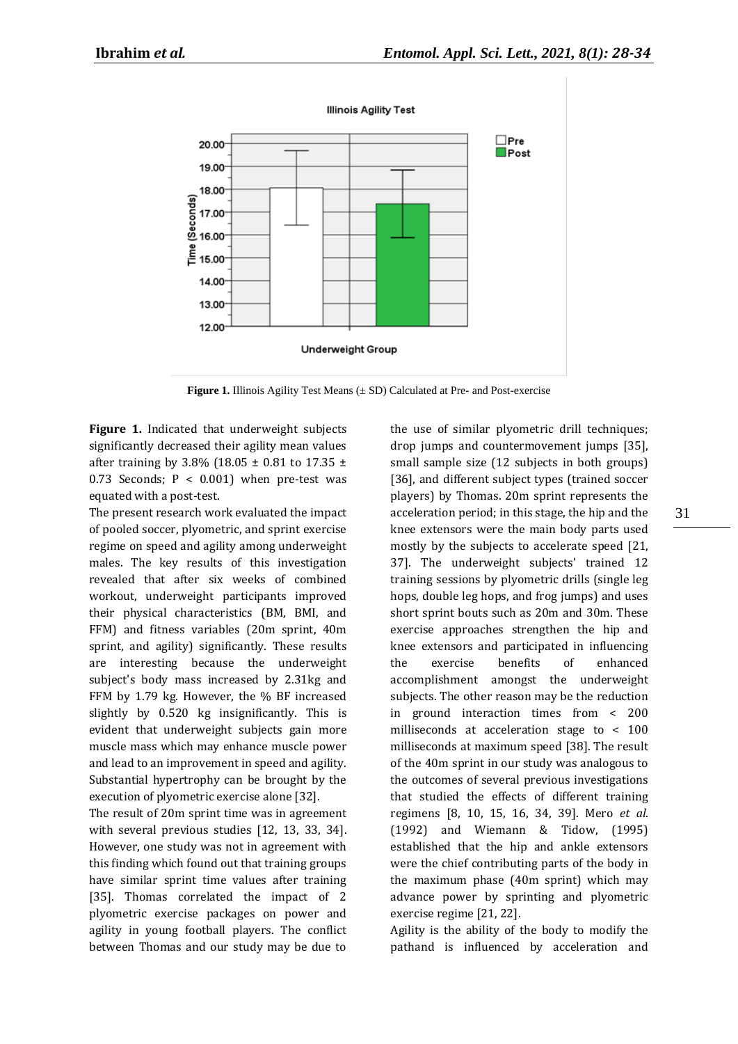

**Illinois Agility Test** 

**Figure 1.** Illinois Agility Test Means (± SD) Calculated at Pre- and Post-exercise

**Figure 1.** Indicated that underweight subjects significantly decreased their agility mean values after training by 3.8% (18.05  $\pm$  0.81 to 17.35  $\pm$ 0.73 Seconds;  $P < 0.001$ ) when pre-test was equated with a post-test.

The present research work evaluated the impact of pooled soccer, plyometric, and sprint exercise regime on speed and agility among underweight males. The key results of this investigation revealed that after six weeks of combined workout, underweight participants improved their physical characteristics (BM, BMI, and FFM) and fitness variables (20m sprint, 40m sprint, and agility) significantly. These results are interesting because the underweight subject's body mass increased by 2.31kg and FFM by 1.79 kg. However, the % BF increased slightly by 0.520 kg insignificantly. This is evident that underweight subjects gain more muscle mass which may enhance muscle power and lead to an improvement in speed and agility. Substantial hypertrophy can be brought by the execution of plyometric exercise alone [32].

The result of 20m sprint time was in agreement with several previous studies [12, 13, 33, 34]. However, one study was not in agreement with this finding which found out that training groups have similar sprint time values after training [35]. Thomas correlated the impact of 2 plyometric exercise packages on power and agility in young football players. The conflict between Thomas and our study may be due to the use of similar plyometric drill techniques; drop jumps and countermovement jumps [35], small sample size (12 subjects in both groups) [36], and different subject types (trained soccer players) by Thomas. 20m sprint represents the acceleration period; in this stage, the hip and the knee extensors were the main body parts used mostly by the subjects to accelerate speed [21, 37]. The underweight subjects' trained 12 training sessions by plyometric drills (single leg hops, double leg hops, and frog jumps) and uses short sprint bouts such as 20m and 30m. These exercise approaches strengthen the hip and knee extensors and participated in influencing the exercise benefits of enhanced accomplishment amongst the underweight subjects. The other reason may be the reduction in ground interaction times from < 200 milliseconds at acceleration stage to < 100 milliseconds at maximum speed [38]. The result of the 40m sprint in our study was analogous to the outcomes of several previous investigations that studied the effects of different training regimens [8, 10, 15, 16, 34, 39]. Mero *et al*. (1992) and Wiemann & Tidow, (1995) established that the hip and ankle extensors were the chief contributing parts of the body in the maximum phase (40m sprint) which may advance power by sprinting and plyometric exercise regime [21, 22].

Agility is the ability of the body to modify the pathand is influenced by acceleration and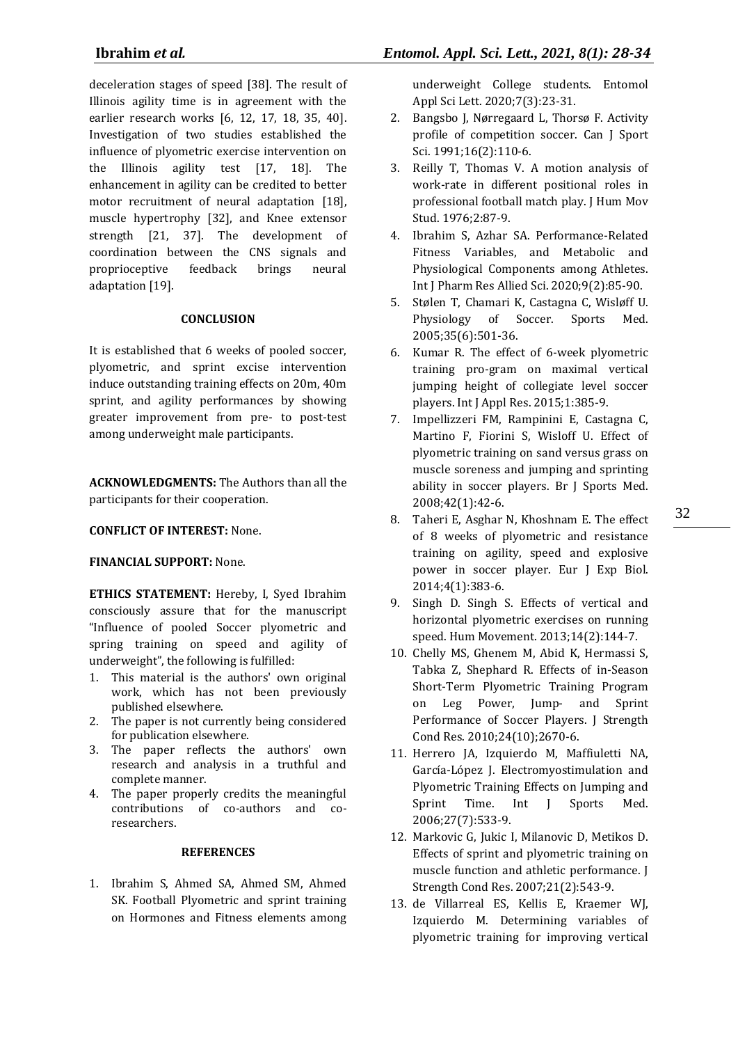deceleration stages of speed [38]. The result of Illinois agility time is in agreement with the earlier research works [6, 12, 17, 18, 35, 40]. Investigation of two studies established the influence of plyometric exercise intervention on the Illinois agility test [17, 18]. The enhancement in agility can be credited to better motor recruitment of neural adaptation [18], muscle hypertrophy [32], and Knee extensor strength [21, 37]. The development of coordination between the CNS signals and proprioceptive feedback brings neural adaptation [19].

# **CONCLUSION**

It is established that 6 weeks of pooled soccer, plyometric, and sprint excise intervention induce outstanding training effects on 20m, 40m sprint, and agility performances by showing greater improvement from pre- to post-test among underweight male participants.

**ACKNOWLEDGMENTS:** The Authors than all the participants for their cooperation.

# **CONFLICT OF INTEREST:** None.

# **FINANCIAL SUPPORT:** None.

**ETHICS STATEMENT:** Hereby, I, Syed Ibrahim consciously assure that for the manuscript "Influence of pooled Soccer plyometric and spring training on speed and agility of underweight", the following is fulfilled:

- 1. This material is the authors' own original work, which has not been previously published elsewhere.
- 2. The paper is not currently being considered for publication elsewhere.
- 3. The paper reflects the authors' own research and analysis in a truthful and complete manner.
- 4. The paper properly credits the meaningful contributions of co-authors and coresearchers.

# **REFERENCES**

1. Ibrahim S, Ahmed SA, Ahmed SM, Ahmed SK. Football Plyometric and sprint training on Hormones and Fitness elements among underweight College students. Entomol Appl Sci Lett. 2020;7(3):23-31.

- 2. Bangsbo J, Nørregaard L, Thorsø F. Activity profile of competition soccer. Can J Sport Sci. 1991;16(2):110-6.
- 3. Reilly T, Thomas V. A motion analysis of work-rate in different positional roles in professional football match play. J Hum Mov Stud. 1976;2:87-9.
- 4. Ibrahim S, Azhar SA. Performance-Related Fitness Variables, and Metabolic and Physiological Components among Athletes. Int J Pharm Res Allied Sci. 2020;9(2):85-90.
- 5. Stølen T, Chamari K, Castagna C, Wisløff U. Physiology of Soccer. Sports Med. 2005;35(6):501-36.
- 6. Kumar R. The effect of 6-week plyometric training pro-gram on maximal vertical jumping height of collegiate level soccer players. Int J Appl Res. 2015;1:385-9.
- 7. Impellizzeri FM, Rampinini E, Castagna C, Martino F, Fiorini S, Wisloff U. Effect of plyometric training on sand versus grass on muscle soreness and jumping and sprinting ability in soccer players. Br J Sports Med. 2008;42(1):42-6.
- 8. Taheri E, Asghar N, Khoshnam E. The effect of 8 weeks of plyometric and resistance training on agility, speed and explosive power in soccer player. Eur J Exp Biol. 2014;4(1):383-6.
- 9. Singh D. Singh S. Effects of vertical and horizontal plyometric exercises on running speed. Hum Movement. 2013;14(2):144-7.
- 10. Chelly MS, Ghenem M, Abid K, Hermassi S, Tabka Z, Shephard R. Effects of in-Season Short-Term Plyometric Training Program on Leg Power, Jump- and Sprint Performance of Soccer Players. J Strength Cond Res. 2010;24(10);2670-6.
- 11. Herrero JA, Izquierdo M, Maffiuletti NA, García-López J. Electromyostimulation and Plyometric Training Effects on Jumping and Sprint Time. Int J Sports Med. 2006;27(7):533-9.
- 12. Markovic G, Jukic I, Milanovic D, Metikos D. Effects of sprint and plyometric training on muscle function and athletic performance. J Strength Cond Res. 2007;21(2):543-9.
- 13. de Villarreal ES, Kellis E, Kraemer WJ, Izquierdo M. Determining variables of plyometric training for improving vertical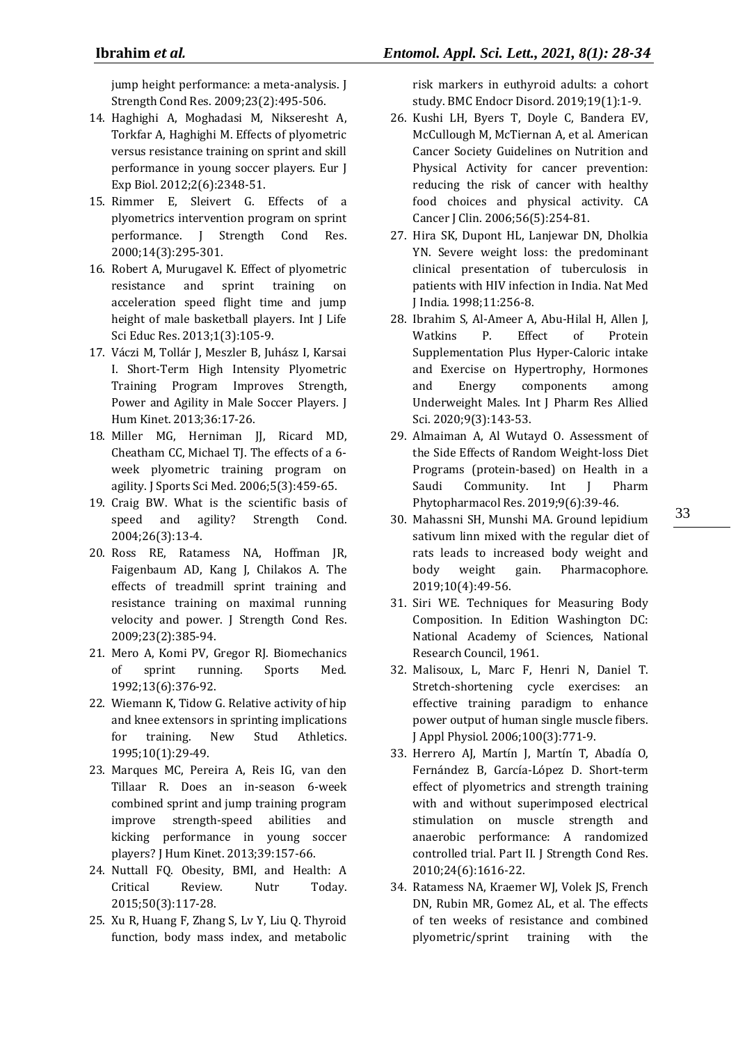jump height performance: a meta-analysis. J Strength Cond Res. 2009;23(2):495-506.

- 14. Haghighi A, Moghadasi M, Nikseresht A, Torkfar A, Haghighi M. Effects of plyometric versus resistance training on sprint and skill performance in young soccer players. Eur J Exp Biol. 2012;2(6):2348-51.
- 15. Rimmer E, Sleivert G. Effects of a plyometrics intervention program on sprint performance. J Strength Cond Res. 2000;14(3):295-301.
- 16. Robert A, Murugavel K. Effect of plyometric resistance and sprint training on acceleration speed flight time and jump height of male basketball players. Int J Life Sci Educ Res. 2013;1(3):105-9.
- 17. Váczi M, Tollár J, Meszler B, Juhász I, Karsai I. Short-Term High Intensity Plyometric Training Program Improves Strength, Power and Agility in Male Soccer Players. J Hum Kinet. 2013;36:17-26.
- 18. Miller MG, Herniman JJ, Ricard MD, Cheatham CC, Michael TJ. The effects of a 6 week plyometric training program on agility. J Sports Sci Med. 2006;5(3):459-65.
- 19. Craig BW. What is the scientific basis of speed and agility? Strength Cond. 2004;26(3):13-4.
- 20. Ross RE, Ratamess NA, Hoffman JR, Faigenbaum AD, Kang J, Chilakos A. The effects of treadmill sprint training and resistance training on maximal running velocity and power. J Strength Cond Res. 2009;23(2):385-94.
- 21. Mero A, Komi PV, Gregor RJ. Biomechanics of sprint running. Sports Med. 1992;13(6):376-92.
- 22. Wiemann K, Tidow G. Relative activity of hip and knee extensors in sprinting implications for training. New Stud Athletics. 1995;10(1):29-49.
- 23. Marques MC, Pereira A, Reis IG, van den Tillaar R. Does an in-season 6-week combined sprint and jump training program improve strength-speed abilities and kicking performance in young soccer players? J Hum Kinet. 2013;39:157-66.
- 24. Nuttall FQ. Obesity, BMI, and Health: A Critical Review. Nutr Today. 2015;50(3):117-28.
- 25. Xu R, Huang F, Zhang S, Lv Y, Liu Q. Thyroid function, body mass index, and metabolic

risk markers in euthyroid adults: a cohort study. BMC Endocr Disord. 2019;19(1):1-9.

- 26. Kushi LH, Byers T, Doyle C, Bandera EV, McCullough M, McTiernan A, et al. American Cancer Society Guidelines on Nutrition and Physical Activity for cancer prevention: reducing the risk of cancer with healthy food choices and physical activity. CA Cancer J Clin. 2006;56(5):254-81.
- 27. Hira SK, Dupont HL, Lanjewar DN, Dholkia YN. Severe weight loss: the predominant clinical presentation of tuberculosis in patients with HIV infection in India. Nat Med J India. 1998;11:256-8.
- 28. Ibrahim S, Al-Ameer A, Abu-Hilal H, Allen J, Watkins P. Effect of Protein Supplementation Plus Hyper-Caloric intake and Exercise on Hypertrophy, Hormones and Energy components among Underweight Males. Int J Pharm Res Allied Sci. 2020;9(3):143-53.
- 29. Almaiman A, Al Wutayd O. Assessment of the Side Effects of Random Weight-loss Diet Programs (protein-based) on Health in a Saudi Community. Int J Pharm Phytopharmacol Res. 2019;9(6):39-46.
- 30. Mahassni SH, Munshi MA. Ground lepidium sativum linn mixed with the regular diet of rats leads to increased body weight and body weight gain. Pharmacophore. 2019;10(4):49-56.
- 31. Siri WE. Techniques for Measuring Body Composition. In Edition Washington DC: National Academy of Sciences, National Research Council, 1961.
- 32. Malisoux, L, Marc F, Henri N, Daniel T. Stretch-shortening cycle exercises: an effective training paradigm to enhance power output of human single muscle fibers. J Appl Physiol. 2006;100(3):771-9.
- 33. Herrero AJ, Martín J, Martín T, Abadía O, Fernández B, García-López D. Short-term effect of plyometrics and strength training with and without superimposed electrical stimulation on muscle strength and anaerobic performance: A randomized controlled trial. Part II. J Strength Cond Res. 2010;24(6):1616-22.
- 34. Ratamess NA, Kraemer WJ, Volek JS, French DN, Rubin MR, Gomez AL, et al. The effects of ten weeks of resistance and combined plyometric/sprint training with the